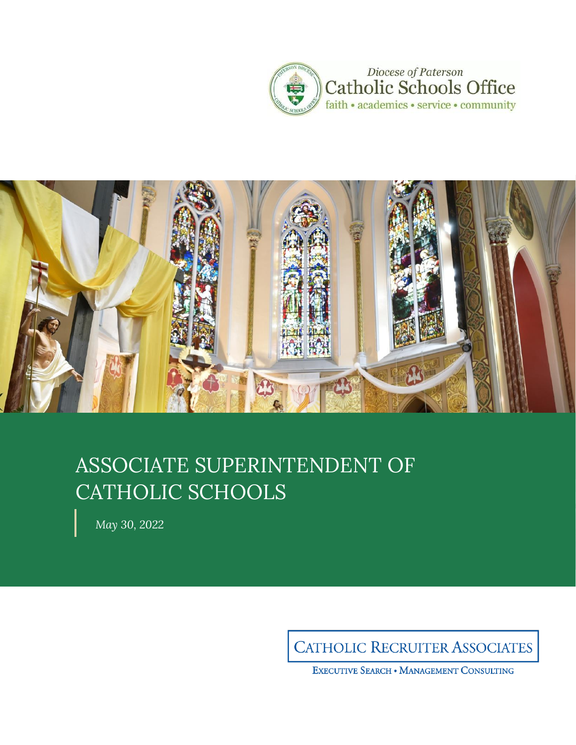



# ASSOCIATE SUPERINTENDENT OF CATHOLIC SCHOOLS

*May 30, 2022*

**CATHOLIC RECRUITER ASSOCIATES** 

EXECUTIVE SEARCH . MANAGEMENT CONSULTING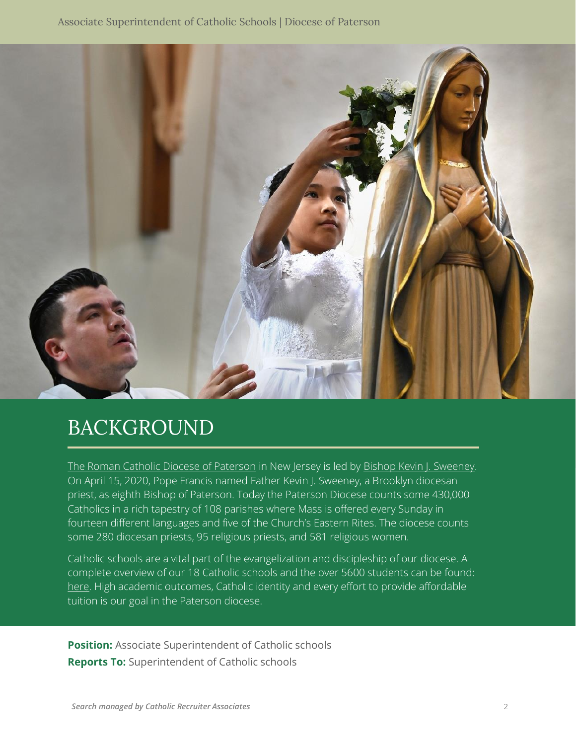

## BACKGROUND

[The Roman Catholic Diocese of Paterson](https://patersondiocese.org/) in New Jersey is led by [Bishop Kevin J. Sweeney.](https://rcdop.org/bishop-kevin-sweeney) On April 15, 2020, Pope Francis named Father Kevin J. Sweeney, a Brooklyn diocesan priest, as eighth Bishop of Paterson. Today the Paterson Diocese counts some 430,000 Catholics in a rich tapestry of 108 parishes where Mass is offered every Sunday in fourteen different languages and five of the Church's Eastern Rites. The diocese counts some 280 diocesan priests, 95 religious priests, and 581 religious women.

Catholic schools are a vital part of the evangelization and discipleship of our diocese. A complete overview of our 18 Catholic schools and the over 5600 students can be found: [here.](https://d2y1pz2y630308.cloudfront.net/11422/documents/2020/8/19-20%20Annual%20Report%20%205-1.pdf) High academic outcomes, Catholic identity and every effort to provide affordable tuition is our goal in the Paterson diocese.

**Position:** Associate Superintendent of Catholic schools **Reports To:** Superintendent of Catholic schools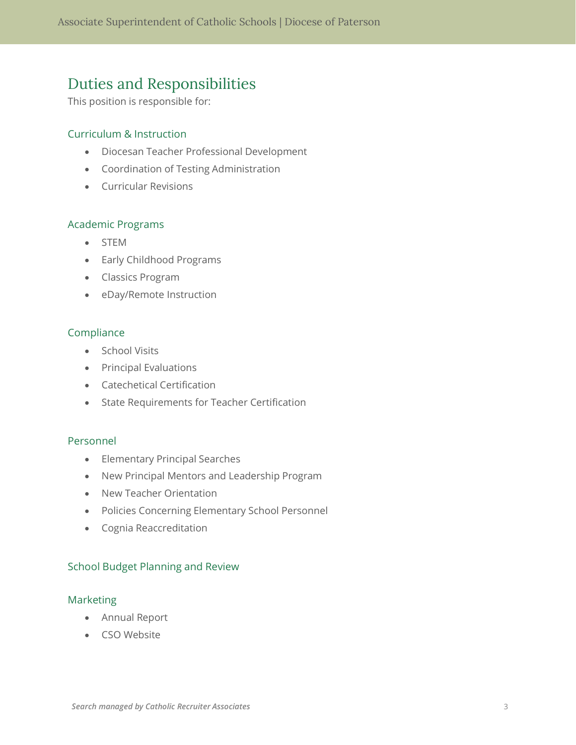## Duties and Responsibilities

This position is responsible for:

#### Curriculum & Instruction

- Diocesan Teacher Professional Development
- Coordination of Testing Administration
- Curricular Revisions

#### Academic Programs

- STEM
- Early Childhood Programs
- Classics Program
- eDay/Remote Instruction

#### Compliance

- School Visits
- Principal Evaluations
- Catechetical Certification
- State Requirements for Teacher Certification

#### Personnel

- Elementary Principal Searches
- New Principal Mentors and Leadership Program
- New Teacher Orientation
- Policies Concerning Elementary School Personnel
- Cognia Reaccreditation

#### School Budget Planning and Review

#### Marketing

- Annual Report
- CSO Website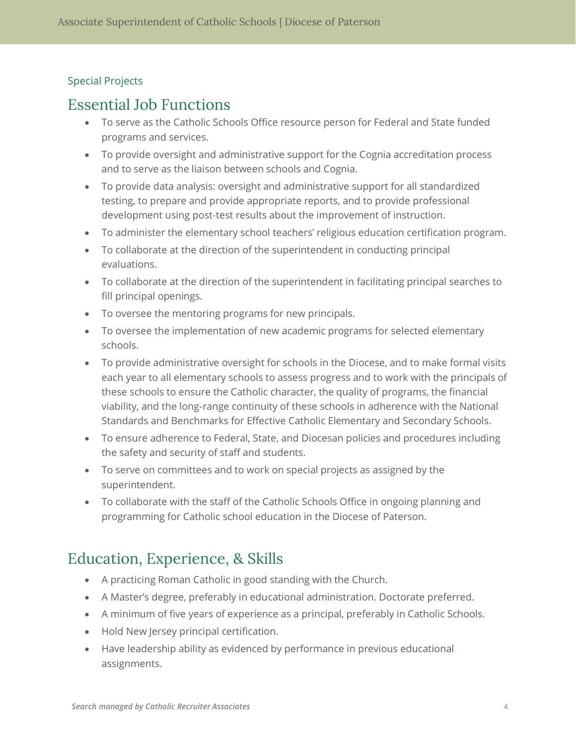#### Special Projects

### Essential Job Functions

- To serve as the Catholic Schools Office resource person for Federal and State funded programs and services.
- To provide oversight and administrative support for the Cognia accreditation process and to serve as the liaison between schools and Cognia.
- To provide data analysis: oversight and administrative support for all standardized testing, to prepare and provide appropriate reports, and to provide professional development using post-test results about the improvement of instruction.
- To administer the elementary school teachers' religious education certification program.
- To collaborate at the direction of the superintendent in conducting principal evaluations.
- To collaborate at the direction of the superintendent in facilitating principal searches to fill principal openings.
- To oversee the mentoring programs for new principals.
- To oversee the implementation of new academic programs for selected elementary schools.
- To provide administrative oversight for schools in the Diocese, and to make formal visits each year to all elementary schools to assess progress and to work with the principals of these schools to ensure the Catholic character, the quality of programs, the financial viability, and the long-range continuity of these schools in adherence with the National Standards and Benchmarks for Effective Catholic Elementary and Secondary Schools.
- To ensure adherence to Federal, State, and Diocesan policies and procedures including the safety and security of staff and students.
- To serve on committees and to work on special projects as assigned by the superintendent.
- To collaborate with the staff of the Catholic Schools Office in ongoing planning and programming for Catholic school education in the Diocese of Paterson.

## Education, Experience, & Skills

- A practicing Roman Catholic in good standing with the Church.
- A Master's degree, preferably in educational administration. Doctorate preferred.
- A minimum of five years of experience as a principal, preferably in Catholic Schools.
- Hold New Jersey principal certification.
- Have leadership ability as evidenced by performance in previous educational assignments.